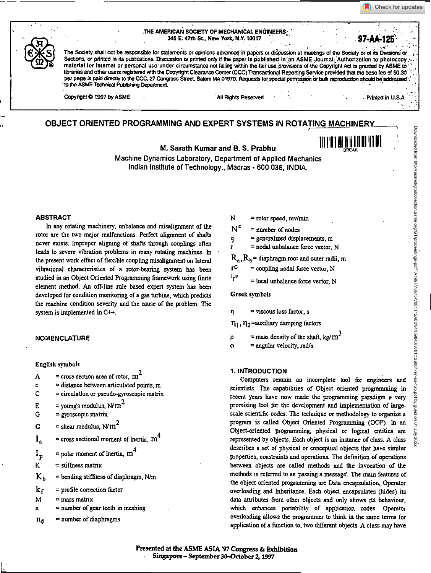Check for updates

#### THE AMERICAN SOCIETY OF MECHANICAL ENGINEERS. 345 E. 47th St.. New York, N.Y. 10017



The Society shall not be responsible for statements or opinions advanced in papers or discussion at meetings of the Society or of its Divisions or Sections, or printed in its publications. Discussion is printed only if the paper is published in an ASME Journal. Authorization to photocopy; material for internal or personal use under circumstance not falling within the fair use provisions of the Copyright Act is granted by ASME to libraries and other users registered with the Copyright Clearance Center (CCC) Transactional Reporting Service provided that the base fee of \$0.30 per page is paid directly to the CCC, 27 Congress Street, Salem MA 01970. Requests for special permission or bulk reproduction should be addressed .<br>to the ASME Technical Publishing Department.

Copyright © 1997 by ASME All Rights Reserved Printed in U.S.A Printed in U.S.A

Downloaded from http://asmedigitalcollection.asme.org/GT/proceedings-pdf/TA1997/78675/V001T12A001/4459848/v001t12a001-97-aa-125.pdf by guest on 01 July 2022

t on 01

2022

Downloaded from http://asmedigitalcollection.asme.org/GT/proceedings-pdf/TA1997/78675/V001T12A00114459848/v001t12a001-97-aa-125.pdf by guest

**97-44126.•** 

# **OBJECT ORIENTED PROGRAMMING AND EXPERT SYSTEMS IN ROTATING MACHINERY**

**M. Sarath Kumar and B. S. Prabhu**  $\lim_{n\to\infty} \|f\| \|f\| \|f\| \|f\|$ 

Machine Dynamics Laboratory, Department of Applied Mechanics Indian Institute of Technology., Madras - 600 036, INDIA.

## **ABSTRACT**

In any rotating machinery, unbalance and misalignment of the rotor are the two major malfunctions. Perfect alignment of shafts never exists. Improper aligning of shafts through couplings often leads to severe vibration problems in many rotating machines. In the present work effect of flexible coupling misalignment on lateral vibrational characteristics of a rotor-bearing system has been studied in an Object Oriented Programming framework using finite element method. An off-line rule based expert system has been developed for condition monitoring of a gas turbine, which predicts the machine condition severity and the cause of the problem. The system is implemented in  $C++$ .

#### **NOMENCLATURE**

**English symbols** 

- A = cross section area of rotor,  $m^2$
- $\epsilon =$  distance between articulated points, m
- $C =$  eirculation or pseudo-gyroscopic matrix
- $E =$  = young's modulus, N/m<sup>2</sup>
- $G = gyroscopic matrix$
- = shear modulus,  $N/m^2$ Ġ
- $=$  cross sectional moment of Inertia,  $m<sup>4</sup>$  $I_{\bullet}$
- $=$  polar moment of Inertia,  $m<sup>4</sup>$  $I_p$ <br>K
- = stiffness matrix
- = bending stiffness of diaphragm, N/m  $K_b$

= profile correction factor  $k_f$ 

- $\mathbf{M}$  $=$  mass matrix
- $\mathbf{n}$ = number of gear teeth in meshing
- = number of diaphragms  $n_d$
- N = rotor speed, rev/min
- $N^{\mathfrak{c}}$  $=$  number of nodes
- $=$  generalized displacements,  $m$
- = nodal unbalance force vector, N

 $R_a, R_b$ = diaphragm root and outer radii, m

- $=$  coupling nodal force vector, N
- **lrC**  = local unbalance force vector, N

Greek symbols

n = viscous loss factor, s

 $\eta_1, \eta_2$  =auxiliary damping factors

 $\rho$  = mass density of the shaft, kg/m<sup>3</sup>

= angular velocity, rad/s **m** 

# **1. INTRODUCTION**

Computers remain an incomplete tool for engineers and scientists. The capabilities of Object oriented programming in recent years have now made the programming paradigm a very promising tool for the development and implementation of largescale scientific codes. The technique or methodology to organize a program is called Object Oriented Programming (00P). In an Object-oriented programming, physical or logical entities are represented by objects. Each object is an instance of class. A class describes a set of physical or conceptual objects that have similar properties, constraints and operations. The definition of operations between objects are called methods and the invocation of the methods is referred to as 'passing a message'. The main features of the object oriented programming are Data encapsulation, Operator overloading and Inheritance. Each object encapsulates (hides) its data attributes from other objects and only shows its behaviour, which enhances portability of application codes. Operator overloading allows the programmer to think in the same tenns for application of a function to, two different objects. A class may have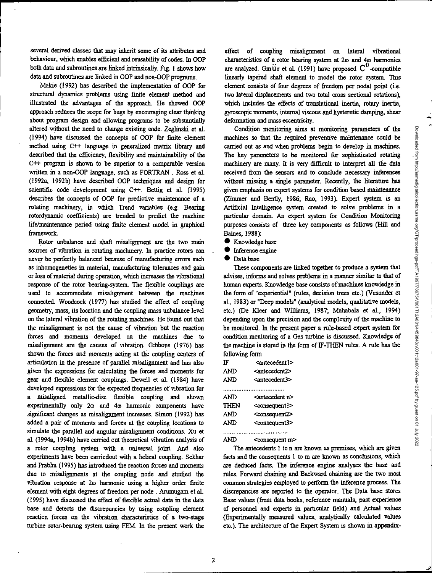several derived classes that may inherit some of its attributes and behaviour; which enables efficient and reusability of codes. In 00? both data and subroutines are linked intrinsically. Fig. 1 shows how data and subroutines are linked in 00P and non-OOP programs.

Makie (1992) has described the implementation of OOP for structural dynamics problems using finite element method and illustrated the advantages of the approach. He showed 00? approach reduces the scope for bugs by encouraging clear thinking about program design and allowing programs to be substantially altered without the need to change existing code. Zeglinski et al. (1994) have discussed the concepts of 00P for finite element method using C++ language in generalized matrix library and described that the efficiency, flexibility and maintainability of the  $C++$  program is shown to be superior to a comparable version written in a non-COP language, such as FORTRAN. Ross et al. (1992a, I992b) have described 00? techniques and design for scientific code development using  $C++$ . Bettig et al. (1995) describes the concepts of 00P for predictive maintenance of a rotating machinery, in which Trend variables (e.g. Bearing rotordynamic coefficients) are trended to predict the machine life/maintenance period using finite element model in graphical framework.

Rotor unbalance and shaft misalignment are the two main sources of vibration in rotating machinery. In practice rotors can *never* be perfectly balanced because of manufacturing errors such as inhomogeneties in material, manufacturing tolerances and gain or loss of material during operation, which increases the vibrational response of the rotor bearing-system. The flexible couplings are used to accommodate misalignment between the machines connected. Woodcock (1977) has studied the effect of coupling geometry, mass, its location and the coupling mass unbalance level on the lateral vibration of the rotating machines. He found out that the misalignment is not the cause of vibration but the reaction forces and moments developed on the machines due to misalignment are the causes of vibration. Gibbons (1976) has shown the forces and moments acting at the coupling centers of articulation in the presence of parallel misalignment and has also given the expressions for calculating the forces and moments for gear and flexible element couplings. Dewell et al. (1984) have developed expressions for the expected frequencies of vibration for a misaligned metallic-disc flexible coupling and shown experimentally only 2 $\omega$  and 4 $\omega$  harmonic components have significant changes as misalignment increases. Simon (1992) has added a pair of moments and forces at the coupling locations to simulate the parallel and angular misalignment conditions. Xu et al. (1994a, I 994b) have carried out theoretical vibration analysis of a rotor coupling system with a universal joint. And also experiments have been carriedout with a helical coupling. Sekhar and Prabhu (1995) has introduced the reaction forces and moments due to misalignments at the coupling node and studied the vibration response at 2 $\omega$  harmonic using a higher order finite element with eight degrees of freedom per node . Arumugam et al. (1995) have discussed the effect of flexible actual data in the data base and detects the discrepancies by using coupling element reaction forces on the vibration characteristics of a two-stage turbine rotor-bearing system using FEM. In the present work the

effect of coupling misalignment on lateral vibrational characteristics of a rotor bearing system at 20 and 40 harmonics are analyzed. GmUr et al. (1991) have proposed  $C<sup>0</sup>$ -compatible linearly tapered shaft element to model the rotor system. This element consists of four degrees of freedom per nodal point (i.e. two lateral displacements and two total cross sectional rotations), which includes the effects of translational inertia, rotary inertia, gyroscopic moments, internal viscous and hysteretic damping, shear deformation and mass eccentricity.

Condition monitoring aims at monitoring parameters of the machines so that the required preventive maintenance could be carried out as and when problems begin to develop in machines. The key parameters to be monitored for sophisticated rotating machinery are many. It is very difficult to interpret all the data received from the sensors and to conclude necessary inferences without missing a single parameter. Recently, the literature has given emphasis on expert systems for condition based maintenance (Zimmer and Bently, 1986; Rao, 1993). Expert system is an Artificial Intelligence system created to solve problems in a particular domain. An expert system for Condition Monitoring purposes consists of three key components as follows (Hill and Baines, 1988):

- **•** Knowledge base
- **•** Inference engine
- Data base

These components are linked together to produce a system that advises, informs and solves problems in a manner similar to that of human experts. Knowledge base consists of machines knowledge in the form of "experiential" (rules, decision trees etc.) (Vesonder et al., 1983) or "Deep models" (analytical models, qualitative models, etc.) (De Kleer and Williams, 1987; Mahabala et al., 1994) depending upon the precision and the complexity of the machine to be monitored. In the present paper a rule-based expert system for condition monitoring of a Gas turbine is discussed. Knowledge of the machine is stored in the form of IF-THEN rules. A rule has the following form

| ΤF          | <antecedent l=""></antecedent> |  |  |
|-------------|--------------------------------|--|--|
| AND         | <antecedent2></antecedent2>    |  |  |
| AND         | <antecedent3></antecedent3>    |  |  |
|             |                                |  |  |
| AND         | <antecedent n=""></antecedent> |  |  |
| <b>THEN</b> | <consequent ?=""></consequent> |  |  |
| AND         | <consequent2></consequent2>    |  |  |
| AND         | <consequent3></consequent3>    |  |  |
|             |                                |  |  |

................................... AND <consequent m>

The antecedents 1 to n are known as premises, which are given facts and the consequents 1 to m are known as conclusions, which are deduced facts. The inference engine analyses the base and rules. Forward chaining and Backward chaining are the two most common strategies employed to perform the inference process. The discrepancies are reported to the operator. The Data base stores Base values (from data books, reference manuals, past experience of personnel and experts in particular field) and Actual values (Experimentally measured values, analytically calculated values etc.). The architecture of the Expert System is shown in appendix-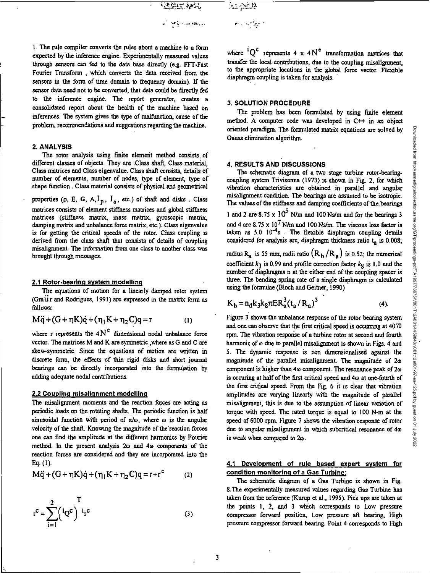فلنلاجئ  $\mathbf{r}_{\mathrm{max}}$  , we have a

1. The rule compiler converts the rules about a machine to a form expected by the inference engine. Experimentally measured values through sensors can fed to the data *base* directly (e.g. FFT-Fast Fourier Transform , which converts the data received from the sensors in the form of time domain to frequency domain). If the sensor data need not to be converted, that data could be directly fed to the inference engine. The report generator, creates a consolidated report about the health of the machine based on inferences, The system gives the type of malfunction, cause of the problem, recommendations and suggestions regarding the machine.

# **2. ANALYSIS**

The rotor analysis using finite element method consists, of different classes of objects. They are :Class shaft, Class material, Class matrices and Class eigenvalue. Class shaft consists, details of number of elements, number of nodes, type of element, type of shape function . Class material consists of physical and geometrical

properties (p, E, G, A, $I_p$ ,  $I_a$ , etc.) of shaft and disks. Class matrices consists of element stiffness matrices and global stiffness matrices (stiffness matrix, mass matrix, gyroscopic matrix, damping matrix and unbalance force matrix, etc.). Class eigenvalue is for getting the critical speeds of the rotor. Class coupling is derived from the *class* shaft that consists of details of coupling misalignment. The information from one class to another class was brought through messages.

#### **2.1 Rotor-bearing system modelling**

The equations of motion for a linearly damped rotor system (Gm $\ddot{\text{u}}$ r and Rodrigues, 1991) are expressed in the matrix form as follows:

$$
M\ddot{q} + (G + \eta K)\dot{q} + (\eta_1 K + \eta_2 C)q = r \tag{1}
$$

where r represents the  $4N<sup>e</sup>$  dimensional nodal unbalance force vector. The matrices M and K are symmetric ,where as G and C are skew-symmetric. Since the equations of motion are written in discrete form, the effects of thin rigid disks and short journal bearings can be directly incorporated into the formulation by adding adequate nodal contributions.

# **2.2 Coupling misalignment modelling**

The misalignment moments and the reaction forces are acting as periodic loads on the rotating shafts. The periodic function is half sinusoidal function with period of  $\pi/\omega$ , where  $\omega$  is the angular velocity of the shaft. Knowing the magnitude of the reaction forces one can find the amplitude at the different harmonics by Fourier method. In the present analysis  $2\omega$  and  $4\omega$  components of the reaction forces are considered and they are incorporated into the Eq. (1).

$$
M\ddot{q} + (G + \eta K)\dot{q} + (\eta_1 K + \eta_2 C)q = r + r^c
$$
 (2)

$$
r^{c} = \sum_{i=1}^{2} \left(\frac{i}{Q^{c}}\right)^{T} i_{r} c
$$
 (3)

where  ${}^{i}Q^{c}$  represents 4 x 4 N<sup>c</sup> transformation matrices that transfer the local contributions, due to the coupling misalignment, to the appropriate locations in the global force vector. Flexible diaphragm coupling is taken for analysis.

# **3. SOLUTION PROCEDURE**

The problem has been formulated by using finite element method. A computer code was developed in C++ in an object oriented paradigm. The formulated matrix equations are solved by Gauss elimination algorithm.

#### **4. RESULTS AND DISCUSSIONS**

The schematic diagram of a two stage turbine rotor-bearingcoupling system Trivisonna (1973) is shown in Fig. 2, for which vibration characteristics are obtained in parallel and angular misalignment condition. The bearings are assumed to be isotropic. The values of the stiffness and damping coefficients of the bearings 1 and 2 are  $8.75 \times 10^5$  N/m and 100 Ns/m and for the bearings 3 and 4 are  $8.75 \times 10^7$  N/m and 100 Ns/m. The viscous loss factor is taken as  $5.0$   $10^{-4}$ s. The flexible diaphragm coupling details considered for analysis are, diaphragm thickness ratio  $t_a$  is 0.008;

radius R<sub>a</sub> is 55 mm; radii ratio  $(R_b/R_a)$  is 0.52; the numerical coefficient  $k_3$  is 0.99 and profile correction factor  $k_8$  is 1.0 and the number of diaphragms n at the either end of the coupling spacer is three. The bending spring rate of a single diaphragm is calculated using the formulae (Bloch and Geitner, 1990)

$$
K_b = n_d k_3 k_8 \pi E R_a^3 (t_a / R_a)^3
$$
 (4)

Figure 3 shows the unbalance response of the rotor bearing system and one can observe that the first critical Speed is occurring at 4070 rpm. The vibration response of a turbine rotor at second and fourth harmonic of  $\omega$  due to parallel misalignment is shown in Figs. 4 and 5. The dynamic response is non dimensionalised against the magnitude of the parallel misalignment. The magnitude of 2m component is higher than 4 $\omega$  component. The resonance peak of 2 $\omega$ is occuring at half of the first critical speed and 40 at one-fourth of the first critical speed. From the Fig. 6 it is clear that vibration amplitudes are varying linearly with the magnitude of parallel misalignment, this is due to the assumption of linear variation of torque with speed. The rated torque is equal to 100 N-m at the speed of 6000 rpm. Figure 7 shows the vibration response of rotor due to angular misalignment in which subcritical resonance of 4 $\omega$ is weak when compared to  $2\omega$ .

# **4.1 Development of rule based expert system for condition monitoring of a Gas Turbine:**

The schematic diagram of a Gas Turbine is shown in Fig. 8.The experimentally measured values regarding Gas Turbine has taken from the reference (Kurup et al., 1995). Pick ups are taken at the points 1, 2, and 3 which corresponds to Low pressure compressor forward position, Low pressure aft bearing, High pressure compressor forward bearing. Point 4 corresponds to High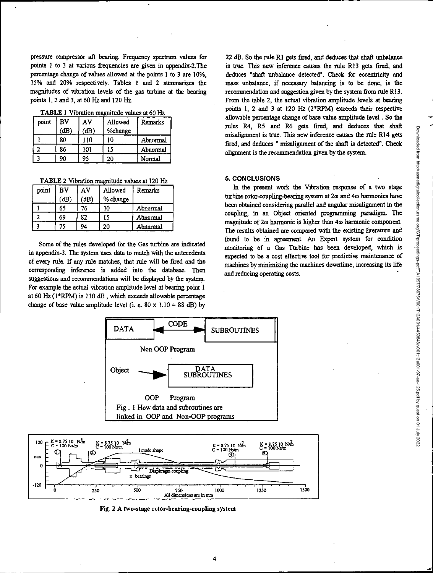pressure compressor aft bearing. Frequency spectrum values for points 1 to 3 at various frequencies are given in appendix-2.The percentage change of values allowed at the points 1 to 3 are 10%. 15% and 20% respectively. Tables 1 and 2 summarizes the magnitudes of vibration levels of the gas turbine at the bearing points 1,2 and 3, at 60 Hz and 120 Hz.

TABLE 1 Vibration magnitude values at 60 Hz

| point | BV   | ΑV   | Allowed | <b>Remarks</b> |
|-------|------|------|---------|----------------|
|       | (dB) | (dB) | %change |                |
|       | 80   | 110  | 10      | Abnormal       |
|       | 86   | 101  | 15      | Abnormal       |
|       | 90   | 95   | 20      | Normal         |

TABLE 2 Vibration magnitude values at 120 Hz

| point | BV   | AV | Allowed  | Remarks  |
|-------|------|----|----------|----------|
|       | (dB) | dB | % change |          |
|       | 65   | 76 | 10       | Abnormal |
|       | 69   | 82 | 15       | Abnormal |
|       | 75   | 94 | 20       | Abnormal |

Some of the rules developed for the Gas turbine are indicated in appendix-3. The system uses data to match with the antecedents of every rule. If any rule matches, that rule will be fired and the corresponding inference is added into the database. Then suggestions and recommendations will be displayed by the system. For example the actual vibration amplitude level at bearing point 1 at  $60$  Hz ( $1*RPM$ ) is  $110$  dB, which exceeds allowable percentage change of base value amplitude level (i. e. 80 x 1.10 = 88 dB) by

22 dB. So the rule RI gets fired, and deduces that shaft unbalance is true. This new inference causes the rule R13 gets fired, and deduces "shaft unbalance detected". Check for eccentricity and mass unbalance, if necessary balancing is to be done, is the recommendation and suggestion given by the system from rule R13. From the table 2, the actual vibration amplitude levels at bearing points 1, 2 and 3 at 120 Hz (2\*RPM) exceeds their respective allowable percentage change of base value amplitude level . So the rules R4, R5 and R6 gets fired, and deduces that shaft misalignment is true. This new inference causes the rule R14 gets fired, and deduces " misalignment of the shaft is detected". Check alignment is the recommendation given by the system.

#### **5. CONCLUSIONS**

In the present work the Vibration response of a two stage turbine rotor-coupling-bearing system at 2 $\omega$  and 4 $\omega$  harmonics have been obtained considering parallel and angular misalignment in the coupling, in an Object oriented programming paradigm. The magnitude of 2 $\omega$  harmonic is higher than 4 $\omega$  harmonic component. The results obtained are compared with the existing literature and found to be in agreement. An Expert system for condition monitoring of a Gas Turbine has been developed, which is expected to be a cost effective tool for predictive maintenance of machines by minimizing the machines downtime, increasing its life and reducing operating costs.





Fig. **2 A** two-stage **rotor-bearing-coupling system**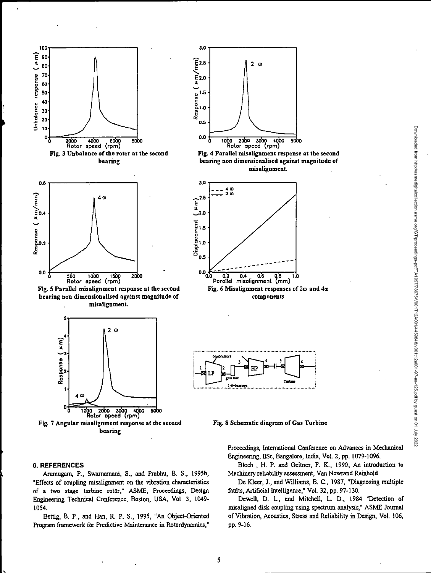

•

bearing non dimensionalised against magnitude of misalignment



bearing

# E **2.5 -**   $2a$ **£2.0**  1.5 Response 1.0 0.5 - **0.0**  1000 2000 3000 4000 5000<br>| Rotor speed (rpm)

**3.0** 

Fig. 4 Parallel misalignment response at the second bearing non dimensionalised against magnitude of misalignment



components



Fig. 8 Schematic diagram of Gas Turbine

Proceedings, International Conference on Advances in Mechanical Engineering, IISc, Bangalore, India, Vol. 2, pp. 1079-1096.

Bloch, H. P. and Geitner, F. K., 1990, An introduction to Machinery reliability assessment, Van Nowrand Reinhold.

De Kleer, J., and Williams, B. C., 1987, "Diagnosing multiple faults, Artificial Intelligence," Vol. 32, pp. 97-130.

Dewell, D. L., and Mitchell, L. D., 1984 "Detection of misaligned disk coupling using spectrum analysis," ASME Journal of Vibration, Acoustics, Stress and Reliability in Design, Vol. 106, pp. 9-16.

#### 6. **REFERENCES**

Anunugam, P., Swamamani, S., and Prabhu, B. S., 1995b, "Effects of coupling misalignment on the vibration characteristics of a two stage turbine rotor," ASME, Proceedings, Design Engineering Technical Conference, Boston, USA, Vol. 3, 1049- 1054.

Bettig, B. P., and Han, R. P. S., 1995, "An Object-Oriented Program framework for Predictive Maintenance in Rotordynamics,"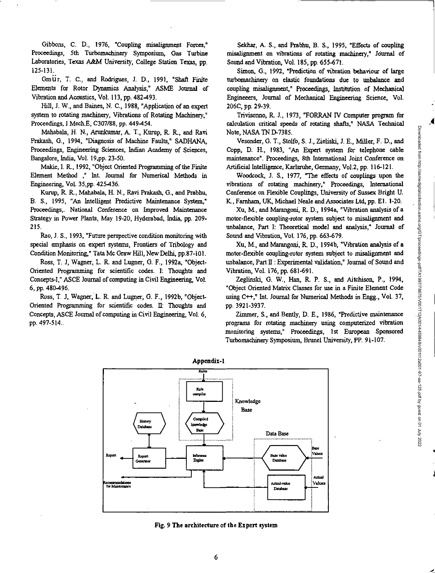Gibbons, C. D., 1976, "Coupling misalignment Forces," Proceedings, 5th Turbomachinery Symposium, Gas Turbine Laboratories, Texas A&M University, College Station Texas, pp. 125-131.

Gm Ur, T. C., and Rodrigues, J. D., 1991, "Shaft Finite Elements for Rotor Dynamics Analysis," ASME Journal of Vibration and Acoustics, Vol. 113, pp. 482-493.

Hill, J. W., and Baines, N. C., 1988, "Application of an expert system to *rotating* machinery, Vibrations of Rotating Machinery," Proceedings, I Mech.E, C307/88, pp. 449-454.

Mahabala, H. N., Arunkumar, A T., Kurup, R. R., and Ravi Prakash, G., 1994, "Diagnosis of Machine Faults," SADHANA, Proceedings, Engineering Sciences, Indian Academy of Sciences, Bangalore, India, Vol. 19,pp. 23-50.

Makie, I. R., 1992, "Object Oriented Programming of the Finite Element Method ," hit. Journal for Numerical Methods in Engineering, Vol. 35,pp. 425-436.

Kurup, R. R., Mahabala, H. N., Ravi Prakash, G., and Prabhu, B. S., 1995, "An Intelligent Predictive Maintenance System," Proceedings,. National Conference on Improved Maintenance Strategy in Power Plants, May 19-20, Hyderabad, India, pp. 209- 215.

Rao, J. S., 1993, "Future perspective condition monitoring with special emphasis on expert systems, Frontiers of Tribology and Condition Monitoring," Tata Mc Graw Hill, New Delhi, pp.87-10I.

Ross, T. J. Wagner, L. R. and Lugner, G. F., 1992a, "Object-Oriented Programming for scientific codes. I: Thoughts and Concepts-I," ASCE Journal of computing in Civil Engineering, Vol. 6, pp. 480496.

Ross, T. J, Wagner; L. R. and Lugner, G. F., 1992b, "Object-Oriented Programming for scientific codes. II: Thoughts and Concepts, ASCE Journal of computing in Civil Engineering, Vol. 6, pp. 497-514..

Sekhar, A. S., and Prabhu, B. S., 1995, "Effects of coupling misalignment on vibrations of rotating machinery," Journal of Sound and Vibration, Vol. 185, pp. 655-671.

Simon, G., 1992, "Prediction of vibration behaviour of large turbomachinery on elastic foundations due to unbalance and coupling misalignment," Proceedings, Institution of Mechanical Engineeess, Journal of Mechanical Engineering Science, Vol. 206C, pp. 29-39.

Trivisonno, R. J., 1973, "FORRAN IV Computer program for calculation critical speeds of rotating shafts," NASA Technical Note, NASA TN D-7385.

Vesonder, G. T., Stolfo, S. J., Zieliski, J. E., Miller, F. D., and Copp, D. H., 1983, "An Expert system for telephone cable maintenance". Proceedings, 8th International Joint Conference on Artificial Intelligence, Karlsruhe, Germany, Vol.2, pp. 116-121.

Woodcock, J. S., 1977, "The effects of couplings upon the vibrations of rotating machinery," Proceedings, International Conference on Flexible Couplings, University of Sussex Bright U. K, Farnham, UK, Michael Neale and Associates Ltd, pp. El. 1-20.

Xu, M., and Marangoni, R. D., 1994a, "Vibration analysis of a motor-flexible coupling-rotor system subject to misalignment and unbalance, Part I: Theoretical model and analysis," Journal of Sound and Vibration, Vol. 176, pp. 663-679.

Xu, M., and Marangoni, K D., 1994b, "Vibration analysis of a motor-flexible coupling-rotor system subject to misalignment and unbalance, Part II : Experimental validation," Journal of Sound and Vibration, Vol. 176, pp. 681-691.

Zeglinski, G. W., Han, R. P. S., and Aitchison, P., 1994, "Object Oriented Matrix Classes for *use in a* Finite Element Code using  $C_{++}$ ," Int. Journal for Numerical Methods in Engg., Vol. 37, pp. 3921-3937.

Zimmer, S., and Bently, D. E., 1986, "Predictive maintenance programs for rotating machinery using computerized vibration monitoring systems," Proceedings, 1st European Sponsored Turbornachinety Symposium, Brunel University, PP. 91-107.



Fig. 9 The architecture of the Expert system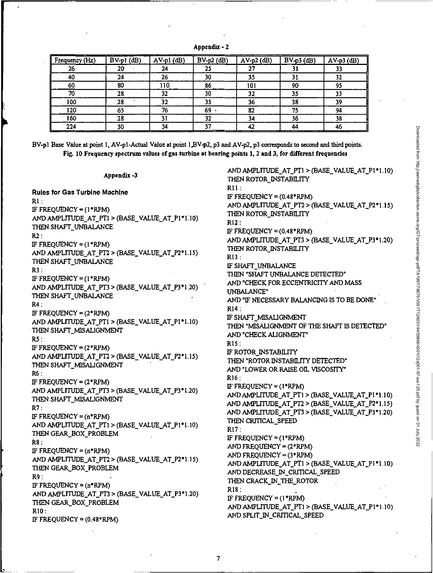| Appendix - |  |  |  |
|------------|--|--|--|
|------------|--|--|--|

| Frequency (Hz) | $BV-p1$ (dB) | AV-p1 (dB) | $BV-p2$ (dB) | $AV-p2$ (dB) | $BV-p3$ (dB) | $AV-p3$ (dB) |
|----------------|--------------|------------|--------------|--------------|--------------|--------------|
| 26             | 20           | 24         | 25           |              | 31           | 33           |
| 40             | 24           | 26         | 30           | 35           | 31           | 32           |
| 60             | 80           | 110        | 86           | 101          | 90           | 95           |
| 70             | 28           | 32         | 30           | 32           | 35           | 33           |
| 100            | 28           | 32         | 35           | 36           | 38           | 39           |
| 120            | 65           | 76         | 69           | 82           | 75           | 94           |
| 160            | 28           |            | 32           | 34           | 36           | 38           |
| 224            | 30           | -24        |              |              | 44           | 46           |

BV-pl Base Value at point 1, AV-p1-Actual Value at point 1,BV-p2, p3 and AV-p2, p3 corresponds to second and third points. Fig. 10 Frequency spectrum values of gas turbine at bearing points 1, 2 and 3, for different frequencies

| Appendix -3                                    | AND AMPLITUDE_AT_PT1 > (BASE_VALUE_AT_P1*1.10)<br>THEN ROTOR_INSTABILITY |
|------------------------------------------------|--------------------------------------------------------------------------|
| <b>Rules for Gas Turbine Machine</b>           | R11:                                                                     |
| $R1$ :                                         | IF FREQUENCY = $(0.48*RPM)$                                              |
| IF FREQUENCY = $(1*RPM)$                       | AND AMPLITUDE_AT_PT2 > (BASE_VALUE_AT_P2*1.15)                           |
| AND AMPLITUDE_AT_PT1 > (BASE_VALUE_AT_P1*1.10) | THEN ROTOR INSTABILITY                                                   |
| THEN SHAFT_UNBALANCE                           | R12:                                                                     |
| R2 :                                           | IF FREQUENCY = $(0.48*RPM)$                                              |
| IF FREQUENCY = $(1*RPM)$                       | AND AMPLITUDE_AT_PT3 > (BASE_VALUE_AT_P3*1.20)                           |
| AND AMPLITUDE_AT_PT2 > (BASE_VALUE_AT_P2*1.15) | THEN ROTOR_INSTABILITY                                                   |
| THEN SHAFT_UNBALANCE                           | R13:                                                                     |
| <b>R3:</b>                                     | IF SHAFT_UNBALANCE                                                       |
| IF FREQUENCY = $(1*RPM)$                       | THEN "SHAFT UNBALANCE DETECTED"                                          |
| AND AMPLITUDE_AT_PT3 > (BASE_VALUE_AT_P3*1.20) | AND "CHECK FOR ECCENTRICITY AND MASS                                     |
| THEN SHAFT_UNBALANCE                           | <b>UNBALANCE"</b>                                                        |
| R4:                                            | AND "IF NECESSARY BALANCING IS TO BE DONE"                               |
| IF FREQUENCY = $(2*RPM)$                       | R14:                                                                     |
| AND AMPLITUDE_AT_PT1 > (BASE_VALUE_AT_P1*1.10) | IF SHAFT_MISALIGNMENT                                                    |
| THEN SHAFT_MISALIGNMENT                        | THEN "MISALIGNMENT OF THE SHAFT IS DETECTED"                             |
| RS:                                            | AND "CHECK ALIGNMENT"                                                    |
| IF FREQUENCY = $(2*RPM)$                       | R15:                                                                     |
| AND AMPLITUDE_AT_PT2 > (BASE_VALUE_AT_P2*1.15) | IF ROTOR_INSTABILITY                                                     |
| THEN SHAFT_MISALIGNMENT                        | THEN "ROTOR INSTABILITY DETECTED"                                        |
| <b>R6 :</b>                                    | AND "LOWER OR RAISE OIL VISCOSITY"                                       |
| IF FREQUENCY = $(2*RPM)$                       | R16:                                                                     |
| AND AMPLITUDE_AT_PT3 > (BASE_VALUE_AT_P3*1.20) | IF FREQUENCY = $(1*RPM)$                                                 |
| THEN SHAFT_MISALIGNMENT                        | AND AMPLITUDE_AT_PT1 > (BASE_VALUE_AT_P1*1.10)                           |
| R7:                                            | AND AMPLITUDE_AT_PT2 > (BASE_VALUE_AT_P2*1.15)                           |
| IF FREQUENCY = $(n*RPM)$                       | AND AMPLITUDE_AT_PT3 > (BASE_VALUE_AT_P3*1.20)                           |
| AND AMPLITUDE_AT_PTI > (BASE_VALUE_AT_P1*1.10) | THEN CRITICAL SPEED                                                      |
| THEN GEAR_BOX_PROBLEM                          | R17:                                                                     |
| R8 :                                           | IF FREQUENCY = $(1*RPM)$<br>AND FREQUENCY = (2*RPM)                      |
| IF FREQUENCY = $(n*RPM)$                       | AND FREQUENCY = $(3*RPM)$                                                |
| AND AMPLITUDE_AT_PT2 > (BASE_VALUE_AT_P2*1.15) | AND AMPLITUDE_AT_PTI > (BASE_VALUE_AT_PI*1.10)                           |
| THEN GEAR_BOX_PROBLEM                          | AND DECREASE_IN_CRITICAL_SPEED                                           |
| R9:                                            | THEN CRACK_IN_THE_ROTOR                                                  |
| IF FREQUENCY = $(n*RPM)$                       | R18:                                                                     |
| AND AMPLITUDE_AT_PT3 > (BASE_VALUE_AT_P3*1.20) | IF FREQUENCY = $(1*RPM)$                                                 |
| THEN GEAR_BOX_PROBLEM                          | AND AMPLITUDE_AT_PTI > (BASE_VALUE_AT_PI*1.10)                           |
| R10:                                           | AND SPLIT_IN_CRITICAL_SPEED                                              |
| IF FREQUENCY = $(0.48*RPM)$                    |                                                                          |
|                                                |                                                                          |